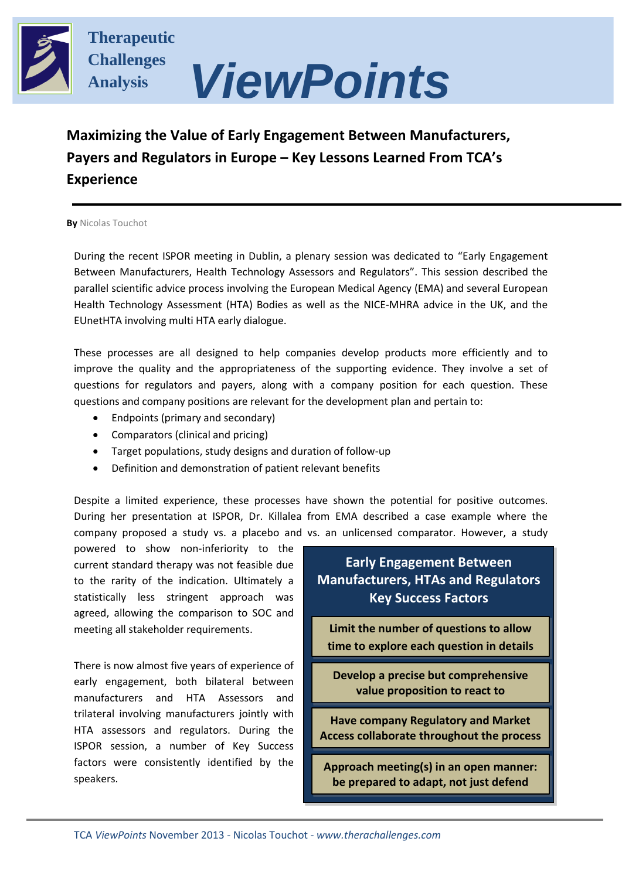

**Therapeutic Challenges Analysis**

# *ViewPoints*

# **Maximizing the Value of Early Engagement Between Manufacturers, Payers and Regulators in Europe – Key Lessons Learned From TCA's Experience**

**By** Nicolas Touchot

During the recent ISPOR meeting in Dublin, a plenary session was dedicated to "Early Engagement Between Manufacturers, Health Technology Assessors and Regulators". This session described the parallel scientific advice process involving the European Medical Agency (EMA) and several European Health Technology Assessment (HTA) Bodies as well as the NICE-MHRA advice in the UK, and the EUnetHTA involving multi HTA early dialogue.

These processes are all designed to help companies develop products more efficiently and to improve the quality and the appropriateness of the supporting evidence. They involve a set of questions for regulators and payers, along with a company position for each question. These questions and company positions are relevant for the development plan and pertain to:

- Endpoints (primary and secondary)
- Comparators (clinical and pricing)
- Target populations, study designs and duration of follow-up
- Definition and demonstration of patient relevant benefits

Despite a limited experience, these processes have shown the potential for positive outcomes. During her presentation at ISPOR, Dr. Killalea from EMA described a case example where the company proposed a study vs. a placebo and vs. an unlicensed comparator. However, a study

powered to show non-inferiority to the current standard therapy was not feasible due to the rarity of the indication. Ultimately a statistically less stringent approach was agreed, allowing the comparison to SOC and meeting all stakeholder requirements.

There is now almost five years of experience of early engagement, both bilateral between manufacturers and HTA Assessors and trilateral involving manufacturers jointly with HTA assessors and regulators. During the ISPOR session, a number of Key Success factors were consistently identified by the speakers.

**Early Engagement Between Manufacturers, HTAs and Regulators Key Success Factors**

**Limit the number of questions to allow time to explore each question in details**

**Develop a precise but comprehensive value proposition to react to**

**Have company Regulatory and Market Access collaborate throughout the process**

**Approach meeting(s) in an open manner: be prepared to adapt, not just defend**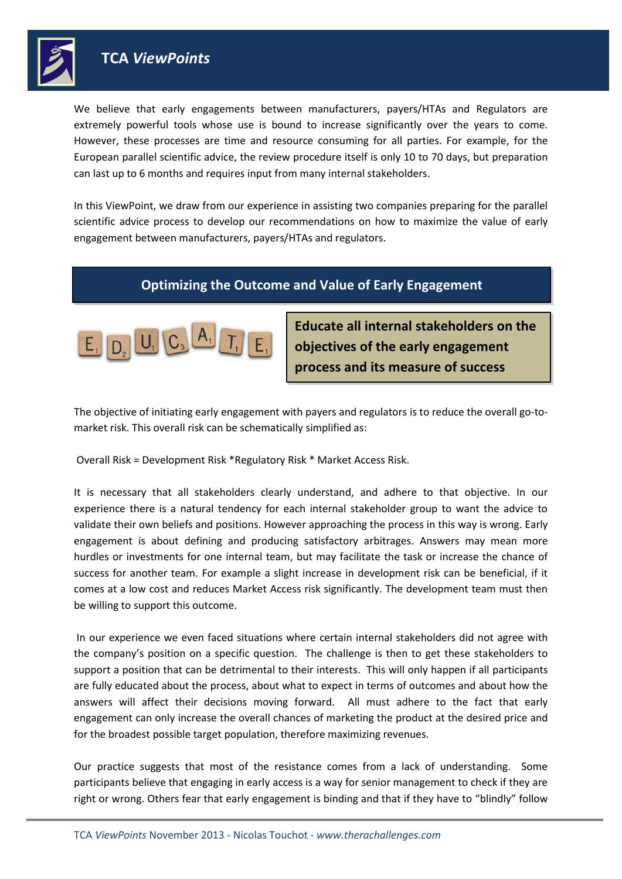

We believe that early engagements between manufacturers, payers/HTAs and Regulators are extremely powerful tools whose use is bound to increase significantly over the years to come. However, these processes are time and resource consuming for all parties. For example, for the European parallel scientific advice, the review procedure itself is only 10 to 70 days, but preparation can last up to 6 months and requires input from many internal stakeholders.

In this ViewPoint, we draw from our experience in assisting two companies preparing for the parallel scientific advice process to develop our recommendations on how to maximize the value of early engagement between manufacturers, payers/HTAs and regulators.

## **Optimizing the Outcome and Value of Early Engagement**



**Educate all internal stakeholders on the objectives of the early engagement process and its measure of success** 

The objective of initiating early engagement with payers and regulators is to reduce the overall go-tomarket risk. This overall risk can be schematically simplified as:

Overall Risk = Development Risk \*Regulatory Risk \* Market Access Risk.

It is necessary that all stakeholders clearly understand, and adhere to that objective. In our experience there is a natural tendency for each internal stakeholder group to want the advice to validate their own beliefs and positions. However approaching the process in this way is wrong. Early engagement is about defining and producing satisfactory arbitrages. Answers may mean more hurdles or investments for one internal team, but may facilitate the task or increase the chance of success for another team. For example a slight increase in development risk can be beneficial, if it comes at a low cost and reduces Market Access risk significantly. The development team must then be willing to support this outcome.

In our experience we even faced situations where certain internal stakeholders did not agree with the company's position on a specific question. The challenge is then to get these stakeholders to support a position that can be detrimental to their interests. This will only happen if all participants are fully educated about the process, about what to expect in terms of outcomes and about how the answers will affect their decisions moving forward. All must adhere to the fact that early engagement can only increase the overall chances of marketing the product at the desired price and for the broadest possible target population, therefore maximizing revenues.

Our practice suggests that most of the resistance comes from a lack of understanding. Some participants believe that engaging in early access is a way for senior management to check if they are right or wrong. Others fear that early engagement is binding and that if they have to "blindly" follow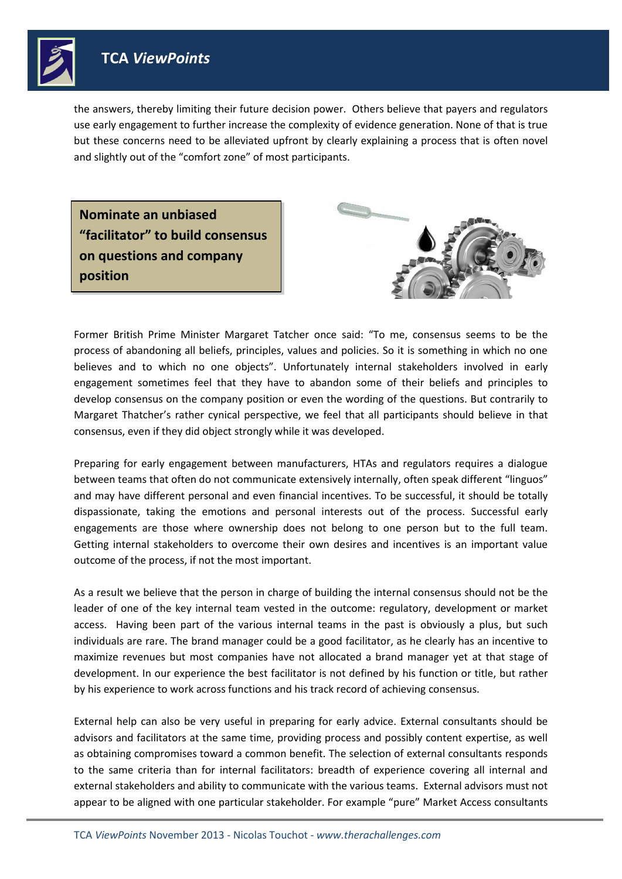

the answers, thereby limiting their future decision power. Others believe that payers and regulators use early engagement to further increase the complexity of evidence generation. None of that is true but these concerns need to be alleviated upfront by clearly explaining a process that is often novel and slightly out of the "comfort zone" of most participants.

**Nominate an unbiased "facilitator" to build consensus on questions and company position** 



Former British Prime Minister Margaret Tatcher once said: "To me, consensus seems to be the process of abandoning all beliefs, principles, values and policies. So it is something in which no one believes and to which no one objects". Unfortunately internal stakeholders involved in early engagement sometimes feel that they have to abandon some of their beliefs and principles to develop consensus on the company position or even the wording of the questions. But contrarily to Margaret Thatcher's rather cynical perspective, we feel that all participants should believe in that consensus, even if they did object strongly while it was developed.

Preparing for early engagement between manufacturers, HTAs and regulators requires a dialogue between teams that often do not communicate extensively internally, often speak different "linguos" and may have different personal and even financial incentives. To be successful, it should be totally dispassionate, taking the emotions and personal interests out of the process. Successful early engagements are those where ownership does not belong to one person but to the full team. Getting internal stakeholders to overcome their own desires and incentives is an important value outcome of the process, if not the most important.

As a result we believe that the person in charge of building the internal consensus should not be the leader of one of the key internal team vested in the outcome: regulatory, development or market access. Having been part of the various internal teams in the past is obviously a plus, but such individuals are rare. The brand manager could be a good facilitator, as he clearly has an incentive to maximize revenues but most companies have not allocated a brand manager yet at that stage of development. In our experience the best facilitator is not defined by his function or title, but rather by his experience to work across functions and his track record of achieving consensus.

External help can also be very useful in preparing for early advice. External consultants should be advisors and facilitators at the same time, providing process and possibly content expertise, as well as obtaining compromises toward a common benefit. The selection of external consultants responds to the same criteria than for internal facilitators: breadth of experience covering all internal and external stakeholders and ability to communicate with the various teams. External advisors must not appear to be aligned with one particular stakeholder. For example "pure" Market Access consultants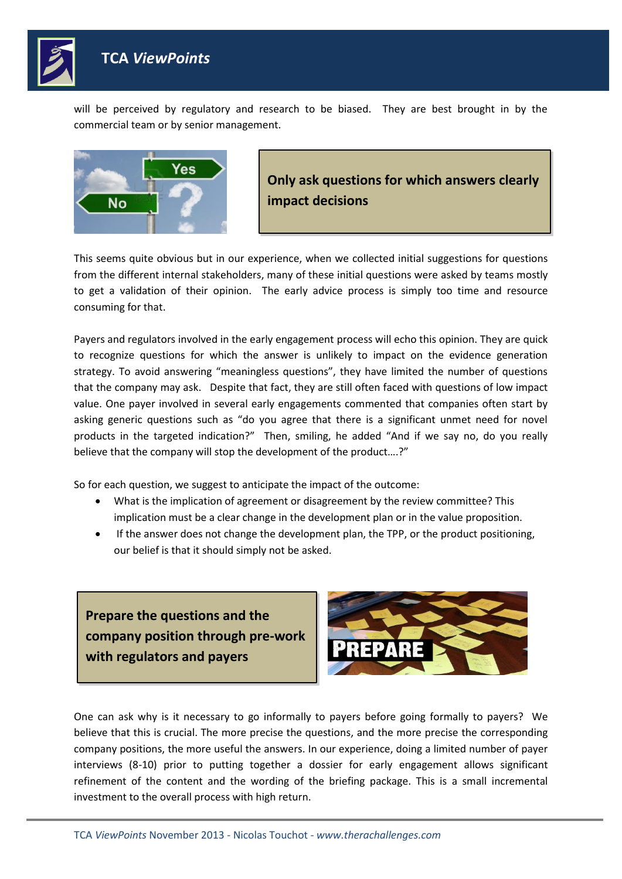

will be perceived by regulatory and research to be biased. They are best brought in by the commercial team or by senior management.



**Only ask questions for which answers clearly impact decisions**

This seems quite obvious but in our experience, when we collected initial suggestions for questions from the different internal stakeholders, many of these initial questions were asked by teams mostly to get a validation of their opinion. The early advice process is simply too time and resource consuming for that.

Payers and regulators involved in the early engagement process will echo this opinion. They are quick to recognize questions for which the answer is unlikely to impact on the evidence generation strategy. To avoid answering "meaningless questions", they have limited the number of questions that the company may ask. Despite that fact, they are still often faced with questions of low impact value. One payer involved in several early engagements commented that companies often start by asking generic questions such as "do you agree that there is a significant unmet need for novel products in the targeted indication?" Then, smiling, he added "And if we say no, do you really believe that the company will stop the development of the product….?"

So for each question, we suggest to anticipate the impact of the outcome:

- What is the implication of agreement or disagreement by the review committee? This implication must be a clear change in the development plan or in the value proposition.
- If the answer does not change the development plan, the TPP, or the product positioning, our belief is that it should simply not be asked.

**Prepare the questions and the company position through pre-work with regulators and payers** 



One can ask why is it necessary to go informally to payers before going formally to payers? We believe that this is crucial. The more precise the questions, and the more precise the corresponding company positions, the more useful the answers. In our experience, doing a limited number of payer interviews (8-10) prior to putting together a dossier for early engagement allows significant refinement of the content and the wording of the briefing package. This is a small incremental investment to the overall process with high return.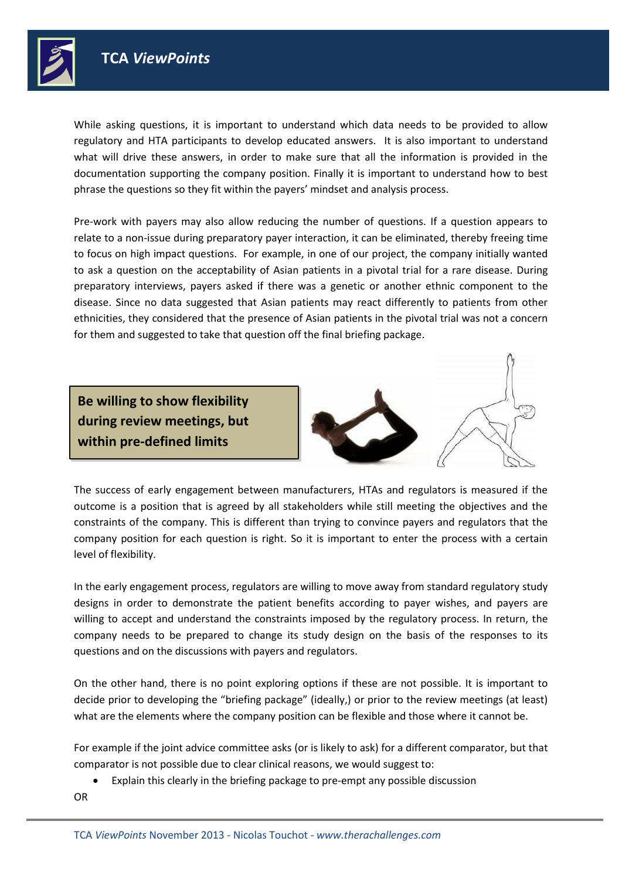

While asking questions, it is important to understand which data needs to be provided to allow regulatory and HTA participants to develop educated answers. It is also important to understand what will drive these answers, in order to make sure that all the information is provided in the documentation supporting the company position. Finally it is important to understand how to best phrase the questions so they fit within the payers' mindset and analysis process.

Pre-work with payers may also allow reducing the number of questions. If a question appears to relate to a non-issue during preparatory payer interaction, it can be eliminated, thereby freeing time to focus on high impact questions. For example, in one of our project, the company initially wanted to ask a question on the acceptability of Asian patients in a pivotal trial for a rare disease. During preparatory interviews, payers asked if there was a genetic or another ethnic component to the disease. Since no data suggested that Asian patients may react differently to patients from other ethnicities, they considered that the presence of Asian patients in the pivotal trial was not a concern for them and suggested to take that question off the final briefing package.

**Be willing to show flexibility during review meetings, but within pre-defined limits**





The success of early engagement between manufacturers, HTAs and regulators is measured if the outcome is a position that is agreed by all stakeholders while still meeting the objectives and the constraints of the company. This is different than trying to convince payers and regulators that the company position for each question is right. So it is important to enter the process with a certain level of flexibility.

In the early engagement process, regulators are willing to move away from standard regulatory study designs in order to demonstrate the patient benefits according to payer wishes, and payers are willing to accept and understand the constraints imposed by the regulatory process. In return, the company needs to be prepared to change its study design on the basis of the responses to its questions and on the discussions with payers and regulators.

On the other hand, there is no point exploring options if these are not possible. It is important to decide prior to developing the "briefing package" (ideally,) or prior to the review meetings (at least) what are the elements where the company position can be flexible and those where it cannot be.

For example if the joint advice committee asks (or is likely to ask) for a different comparator, but that comparator is not possible due to clear clinical reasons, we would suggest to:

Explain this clearly in the briefing package to pre-empt any possible discussion

OR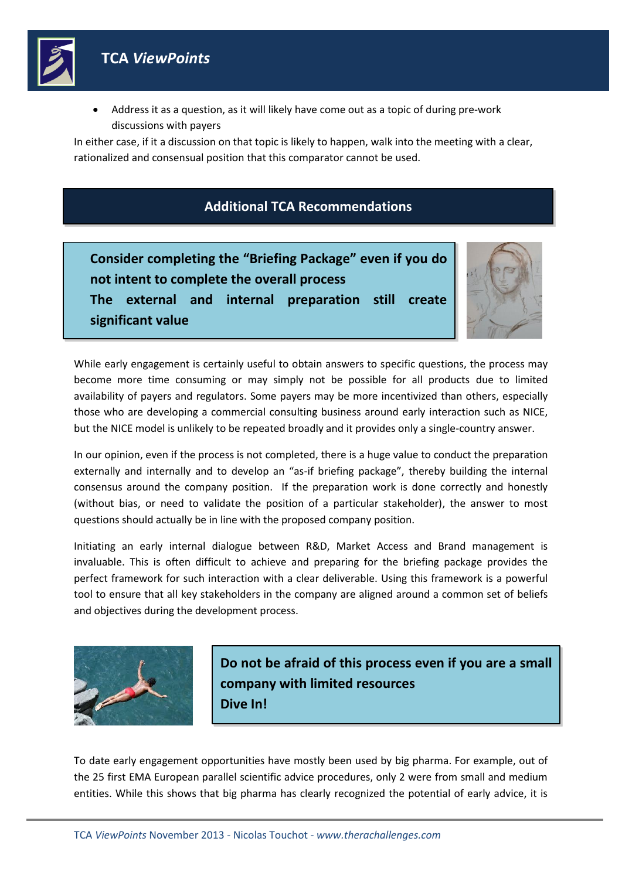

 Address it as a question, as it will likely have come out as a topic of during pre-work discussions with payers

In either case, if it a discussion on that topic is likely to happen, walk into the meeting with a clear, rationalized and consensual position that this comparator cannot be used.

#### **Additional TCA Recommendations**

**Consider completing the "Briefing Package" even if you do not intent to complete the overall process The external and internal preparation still create significant value**



While early engagement is certainly useful to obtain answers to specific questions, the process may become more time consuming or may simply not be possible for all products due to limited availability of payers and regulators. Some payers may be more incentivized than others, especially those who are developing a commercial consulting business around early interaction such as NICE, but the NICE model is unlikely to be repeated broadly and it provides only a single-country answer.

In our opinion, even if the process is not completed, there is a huge value to conduct the preparation externally and internally and to develop an "as-if briefing package", thereby building the internal consensus around the company position. If the preparation work is done correctly and honestly (without bias, or need to validate the position of a particular stakeholder), the answer to most questions should actually be in line with the proposed company position.

Initiating an early internal dialogue between R&D, Market Access and Brand management is invaluable. This is often difficult to achieve and preparing for the briefing package provides the perfect framework for such interaction with a clear deliverable. Using this framework is a powerful tool to ensure that all key stakeholders in the company are aligned around a common set of beliefs and objectives during the development process.



**Do not be afraid of this process even if you are a small company with limited resources Dive In!**

To date early engagement opportunities have mostly been used by big pharma. For example, out of the 25 first EMA European parallel scientific advice procedures, only 2 were from small and medium entities. While this shows that big pharma has clearly recognized the potential of early advice, it is